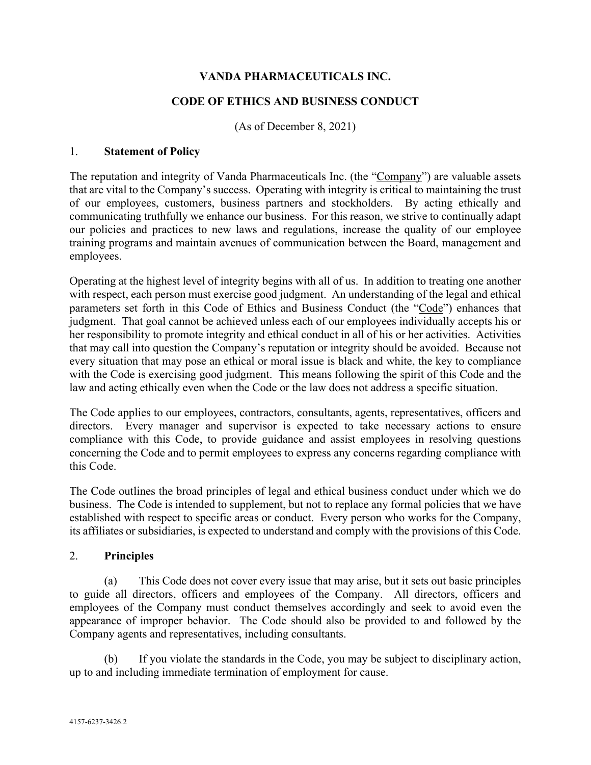### **VANDA PHARMACEUTICALS INC.**

#### **CODE OF ETHICS AND BUSINESS CONDUCT**

(As of December 8, 2021)

#### 1. **Statement of Policy**

The reputation and integrity of Vanda Pharmaceuticals Inc. (the "Company") are valuable assets that are vital to the Company's success. Operating with integrity is critical to maintaining the trust of our employees, customers, business partners and stockholders. By acting ethically and communicating truthfully we enhance our business. For this reason, we strive to continually adapt our policies and practices to new laws and regulations, increase the quality of our employee training programs and maintain avenues of communication between the Board, management and employees.

Operating at the highest level of integrity begins with all of us. In addition to treating one another with respect, each person must exercise good judgment. An understanding of the legal and ethical parameters set forth in this Code of Ethics and Business Conduct (the "Code") enhances that judgment. That goal cannot be achieved unless each of our employees individually accepts his or her responsibility to promote integrity and ethical conduct in all of his or her activities. Activities that may call into question the Company's reputation or integrity should be avoided. Because not every situation that may pose an ethical or moral issue is black and white, the key to compliance with the Code is exercising good judgment. This means following the spirit of this Code and the law and acting ethically even when the Code or the law does not address a specific situation.

The Code applies to our employees, contractors, consultants, agents, representatives, officers and directors. Every manager and supervisor is expected to take necessary actions to ensure compliance with this Code, to provide guidance and assist employees in resolving questions concerning the Code and to permit employees to express any concerns regarding compliance with this Code.

The Code outlines the broad principles of legal and ethical business conduct under which we do business. The Code is intended to supplement, but not to replace any formal policies that we have established with respect to specific areas or conduct. Every person who works for the Company, its affiliates or subsidiaries, is expected to understand and comply with the provisions of this Code.

#### 2. **Principles**

(a) This Code does not cover every issue that may arise, but it sets out basic principles to guide all directors, officers and employees of the Company. All directors, officers and employees of the Company must conduct themselves accordingly and seek to avoid even the appearance of improper behavior. The Code should also be provided to and followed by the Company agents and representatives, including consultants.

(b) If you violate the standards in the Code, you may be subject to disciplinary action, up to and including immediate termination of employment for cause.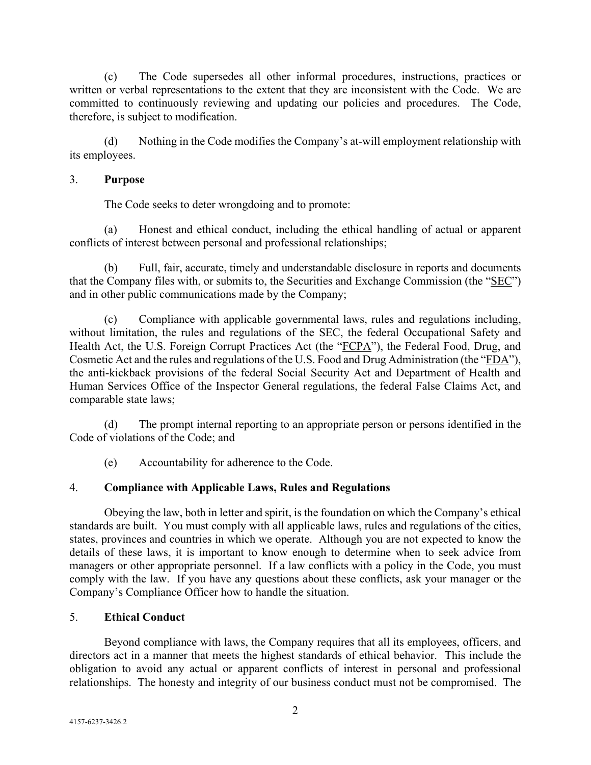(c) The Code supersedes all other informal procedures, instructions, practices or written or verbal representations to the extent that they are inconsistent with the Code. We are committed to continuously reviewing and updating our policies and procedures. The Code, therefore, is subject to modification.

(d) Nothing in the Code modifies the Company's at-will employment relationship with its employees.

#### 3. **Purpose**

The Code seeks to deter wrongdoing and to promote:

(a) Honest and ethical conduct, including the ethical handling of actual or apparent conflicts of interest between personal and professional relationships;

(b) Full, fair, accurate, timely and understandable disclosure in reports and documents that the Company files with, or submits to, the Securities and Exchange Commission (the "SEC") and in other public communications made by the Company;

(c) Compliance with applicable governmental laws, rules and regulations including, without limitation, the rules and regulations of the SEC, the federal Occupational Safety and Health Act, the U.S. Foreign Corrupt Practices Act (the "FCPA"), the Federal Food, Drug, and Cosmetic Act and the rules and regulations of the U.S. Food and Drug Administration (the "FDA"), the anti-kickback provisions of the federal Social Security Act and Department of Health and Human Services Office of the Inspector General regulations, the federal False Claims Act, and comparable state laws;

(d) The prompt internal reporting to an appropriate person or persons identified in the Code of violations of the Code; and

(e) Accountability for adherence to the Code.

# 4. **Compliance with Applicable Laws, Rules and Regulations**

Obeying the law, both in letter and spirit, is the foundation on which the Company's ethical standards are built. You must comply with all applicable laws, rules and regulations of the cities, states, provinces and countries in which we operate. Although you are not expected to know the details of these laws, it is important to know enough to determine when to seek advice from managers or other appropriate personnel. If a law conflicts with a policy in the Code, you must comply with the law. If you have any questions about these conflicts, ask your manager or the Company's Compliance Officer how to handle the situation.

# 5. **Ethical Conduct**

Beyond compliance with laws, the Company requires that all its employees, officers, and directors act in a manner that meets the highest standards of ethical behavior. This include the obligation to avoid any actual or apparent conflicts of interest in personal and professional relationships. The honesty and integrity of our business conduct must not be compromised. The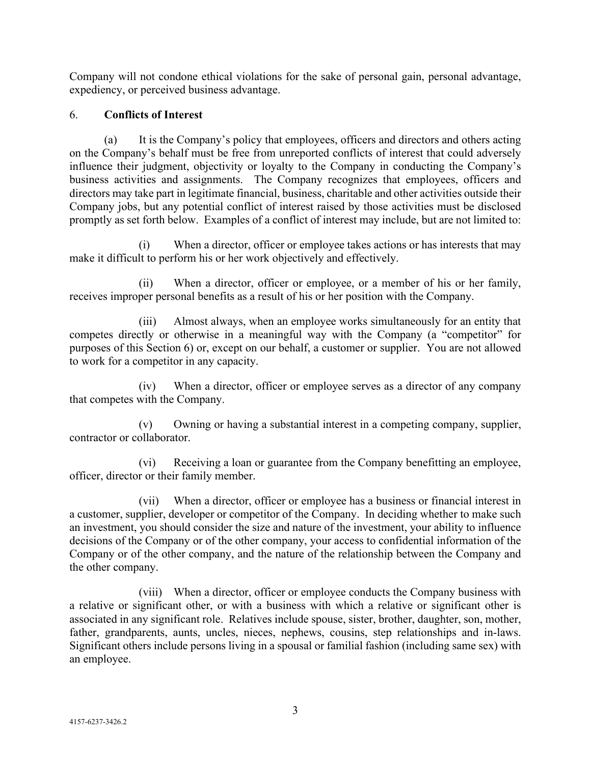Company will not condone ethical violations for the sake of personal gain, personal advantage, expediency, or perceived business advantage.

### 6. **Conflicts of Interest**

(a) It is the Company's policy that employees, officers and directors and others acting on the Company's behalf must be free from unreported conflicts of interest that could adversely influence their judgment, objectivity or loyalty to the Company in conducting the Company's business activities and assignments. The Company recognizes that employees, officers and directors may take part in legitimate financial, business, charitable and other activities outside their Company jobs, but any potential conflict of interest raised by those activities must be disclosed promptly as set forth below. Examples of a conflict of interest may include, but are not limited to:

(i) When a director, officer or employee takes actions or has interests that may make it difficult to perform his or her work objectively and effectively.

(ii) When a director, officer or employee, or a member of his or her family, receives improper personal benefits as a result of his or her position with the Company.

(iii) Almost always, when an employee works simultaneously for an entity that competes directly or otherwise in a meaningful way with the Company (a "competitor" for purposes of this Section 6) or, except on our behalf, a customer or supplier. You are not allowed to work for a competitor in any capacity.

(iv) When a director, officer or employee serves as a director of any company that competes with the Company.

(v) Owning or having a substantial interest in a competing company, supplier, contractor or collaborator.

(vi) Receiving a loan or guarantee from the Company benefitting an employee, officer, director or their family member.

(vii) When a director, officer or employee has a business or financial interest in a customer, supplier, developer or competitor of the Company. In deciding whether to make such an investment, you should consider the size and nature of the investment, your ability to influence decisions of the Company or of the other company, your access to confidential information of the Company or of the other company, and the nature of the relationship between the Company and the other company.

(viii) When a director, officer or employee conducts the Company business with a relative or significant other, or with a business with which a relative or significant other is associated in any significant role. Relatives include spouse, sister, brother, daughter, son, mother, father, grandparents, aunts, uncles, nieces, nephews, cousins, step relationships and in-laws. Significant others include persons living in a spousal or familial fashion (including same sex) with an employee.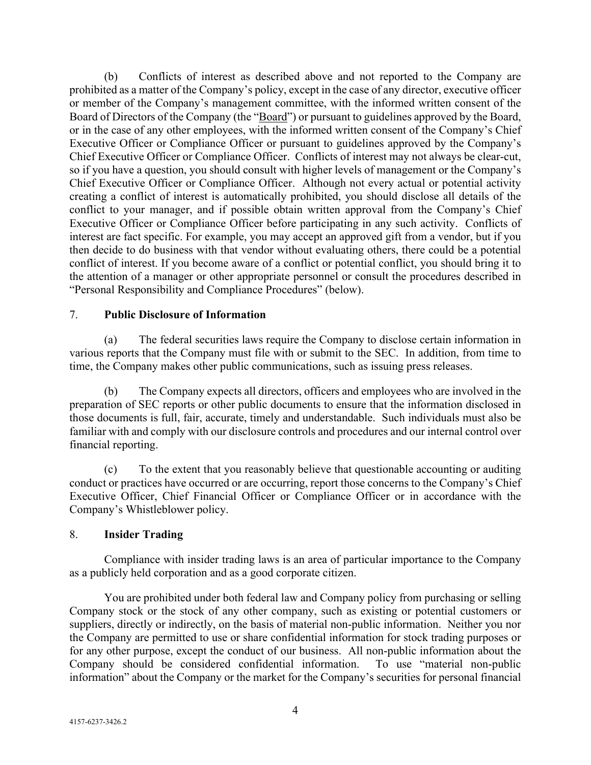(b) Conflicts of interest as described above and not reported to the Company are prohibited as a matter of the Company's policy, except in the case of any director, executive officer or member of the Company's management committee, with the informed written consent of the Board of Directors of the Company (the "Board") or pursuant to guidelines approved by the Board, or in the case of any other employees, with the informed written consent of the Company's Chief Executive Officer or Compliance Officer or pursuant to guidelines approved by the Company's Chief Executive Officer or Compliance Officer. Conflicts of interest may not always be clear-cut, so if you have a question, you should consult with higher levels of management or the Company's Chief Executive Officer or Compliance Officer. Although not every actual or potential activity creating a conflict of interest is automatically prohibited, you should disclose all details of the conflict to your manager, and if possible obtain written approval from the Company's Chief Executive Officer or Compliance Officer before participating in any such activity. Conflicts of interest are fact specific. For example, you may accept an approved gift from a vendor, but if you then decide to do business with that vendor without evaluating others, there could be a potential conflict of interest. If you become aware of a conflict or potential conflict, you should bring it to the attention of a manager or other appropriate personnel or consult the procedures described in "Personal Responsibility and Compliance Procedures" (below).

#### 7. **Public Disclosure of Information**

(a) The federal securities laws require the Company to disclose certain information in various reports that the Company must file with or submit to the SEC. In addition, from time to time, the Company makes other public communications, such as issuing press releases.

(b) The Company expects all directors, officers and employees who are involved in the preparation of SEC reports or other public documents to ensure that the information disclosed in those documents is full, fair, accurate, timely and understandable. Such individuals must also be familiar with and comply with our disclosure controls and procedures and our internal control over financial reporting.

(c) To the extent that you reasonably believe that questionable accounting or auditing conduct or practices have occurred or are occurring, report those concerns to the Company's Chief Executive Officer, Chief Financial Officer or Compliance Officer or in accordance with the Company's Whistleblower policy.

#### 8. **Insider Trading**

Compliance with insider trading laws is an area of particular importance to the Company as a publicly held corporation and as a good corporate citizen.

You are prohibited under both federal law and Company policy from purchasing or selling Company stock or the stock of any other company, such as existing or potential customers or suppliers, directly or indirectly, on the basis of material non-public information. Neither you nor the Company are permitted to use or share confidential information for stock trading purposes or for any other purpose, except the conduct of our business. All non-public information about the Company should be considered confidential information. To use "material non-public information" about the Company or the market for the Company's securities for personal financial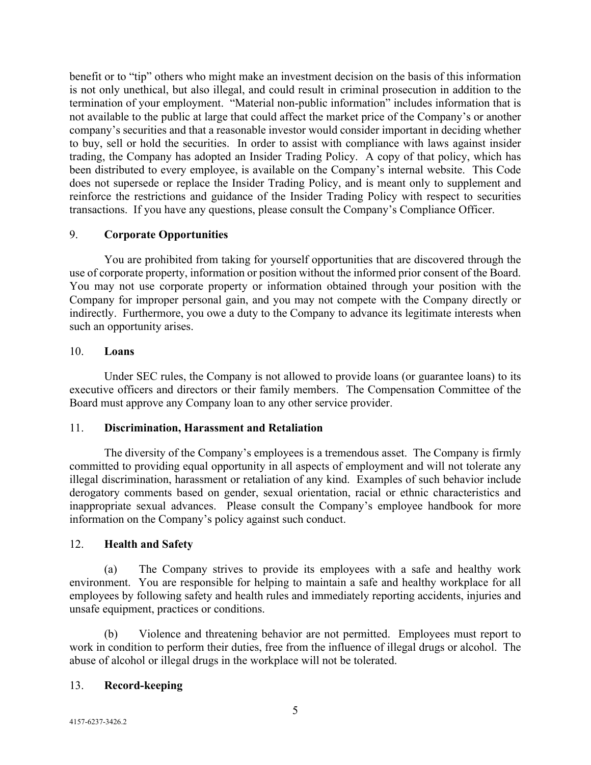benefit or to "tip" others who might make an investment decision on the basis of this information is not only unethical, but also illegal, and could result in criminal prosecution in addition to the termination of your employment. "Material non-public information" includes information that is not available to the public at large that could affect the market price of the Company's or another company's securities and that a reasonable investor would consider important in deciding whether to buy, sell or hold the securities. In order to assist with compliance with laws against insider trading, the Company has adopted an Insider Trading Policy. A copy of that policy, which has been distributed to every employee, is available on the Company's internal website. This Code does not supersede or replace the Insider Trading Policy, and is meant only to supplement and reinforce the restrictions and guidance of the Insider Trading Policy with respect to securities transactions. If you have any questions, please consult the Company's Compliance Officer.

### 9. **Corporate Opportunities**

You are prohibited from taking for yourself opportunities that are discovered through the use of corporate property, information or position without the informed prior consent of the Board. You may not use corporate property or information obtained through your position with the Company for improper personal gain, and you may not compete with the Company directly or indirectly. Furthermore, you owe a duty to the Company to advance its legitimate interests when such an opportunity arises.

### 10. **Loans**

Under SEC rules, the Company is not allowed to provide loans (or guarantee loans) to its executive officers and directors or their family members. The Compensation Committee of the Board must approve any Company loan to any other service provider.

# 11. **Discrimination, Harassment and Retaliation**

The diversity of the Company's employees is a tremendous asset. The Company is firmly committed to providing equal opportunity in all aspects of employment and will not tolerate any illegal discrimination, harassment or retaliation of any kind. Examples of such behavior include derogatory comments based on gender, sexual orientation, racial or ethnic characteristics and inappropriate sexual advances. Please consult the Company's employee handbook for more information on the Company's policy against such conduct.

#### 12. **Health and Safety**

(a) The Company strives to provide its employees with a safe and healthy work environment. You are responsible for helping to maintain a safe and healthy workplace for all employees by following safety and health rules and immediately reporting accidents, injuries and unsafe equipment, practices or conditions.

(b) Violence and threatening behavior are not permitted. Employees must report to work in condition to perform their duties, free from the influence of illegal drugs or alcohol. The abuse of alcohol or illegal drugs in the workplace will not be tolerated.

# 13. **Record-keeping**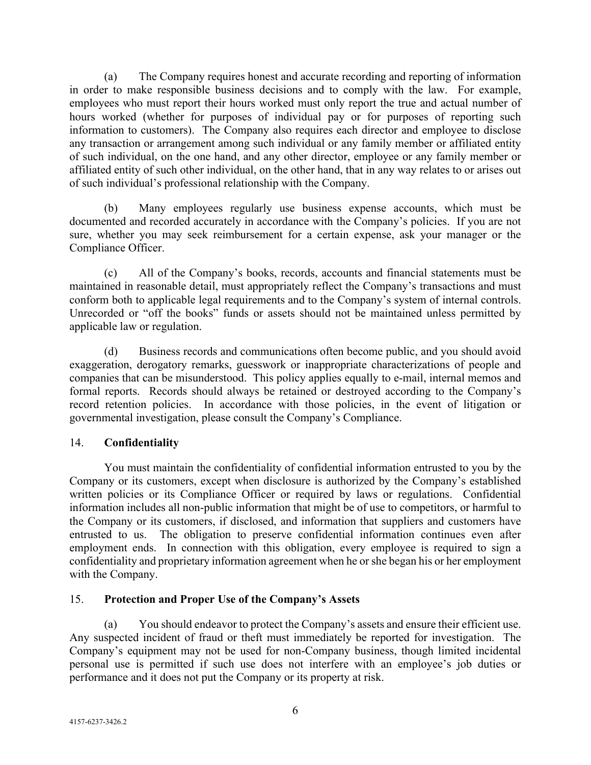(a) The Company requires honest and accurate recording and reporting of information in order to make responsible business decisions and to comply with the law. For example, employees who must report their hours worked must only report the true and actual number of hours worked (whether for purposes of individual pay or for purposes of reporting such information to customers). The Company also requires each director and employee to disclose any transaction or arrangement among such individual or any family member or affiliated entity of such individual, on the one hand, and any other director, employee or any family member or affiliated entity of such other individual, on the other hand, that in any way relates to or arises out of such individual's professional relationship with the Company.

(b) Many employees regularly use business expense accounts, which must be documented and recorded accurately in accordance with the Company's policies. If you are not sure, whether you may seek reimbursement for a certain expense, ask your manager or the Compliance Officer.

(c) All of the Company's books, records, accounts and financial statements must be maintained in reasonable detail, must appropriately reflect the Company's transactions and must conform both to applicable legal requirements and to the Company's system of internal controls. Unrecorded or "off the books" funds or assets should not be maintained unless permitted by applicable law or regulation.

(d) Business records and communications often become public, and you should avoid exaggeration, derogatory remarks, guesswork or inappropriate characterizations of people and companies that can be misunderstood. This policy applies equally to e-mail, internal memos and formal reports. Records should always be retained or destroyed according to the Company's record retention policies. In accordance with those policies, in the event of litigation or governmental investigation, please consult the Company's Compliance.

# 14. **Confidentiality**

You must maintain the confidentiality of confidential information entrusted to you by the Company or its customers, except when disclosure is authorized by the Company's established written policies or its Compliance Officer or required by laws or regulations. Confidential information includes all non-public information that might be of use to competitors, or harmful to the Company or its customers, if disclosed, and information that suppliers and customers have entrusted to us. The obligation to preserve confidential information continues even after employment ends. In connection with this obligation, every employee is required to sign a confidentiality and proprietary information agreement when he or she began his or her employment with the Company.

# 15. **Protection and Proper Use of the Company's Assets**

(a) You should endeavor to protect the Company's assets and ensure their efficient use. Any suspected incident of fraud or theft must immediately be reported for investigation. The Company's equipment may not be used for non-Company business, though limited incidental personal use is permitted if such use does not interfere with an employee's job duties or performance and it does not put the Company or its property at risk.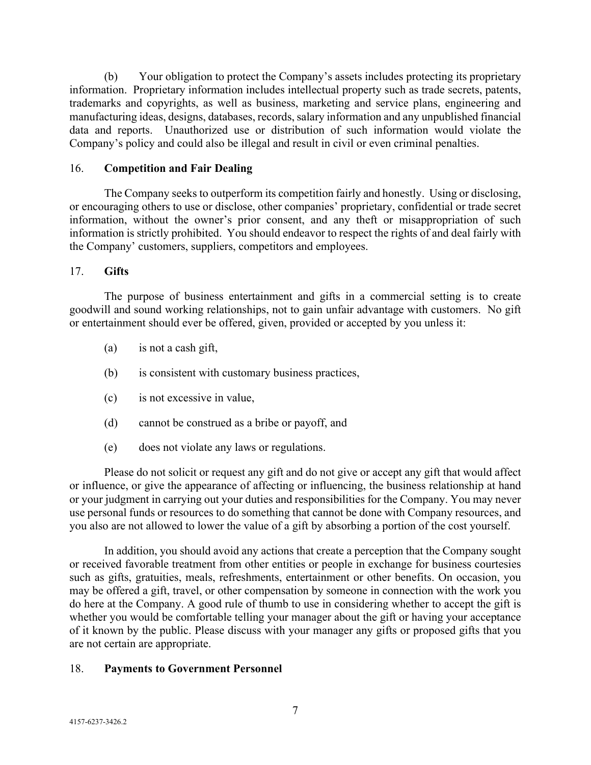(b) Your obligation to protect the Company's assets includes protecting its proprietary information. Proprietary information includes intellectual property such as trade secrets, patents, trademarks and copyrights, as well as business, marketing and service plans, engineering and manufacturing ideas, designs, databases, records, salary information and any unpublished financial data and reports. Unauthorized use or distribution of such information would violate the Company's policy and could also be illegal and result in civil or even criminal penalties.

#### 16. **Competition and Fair Dealing**

The Company seeks to outperform its competition fairly and honestly. Using or disclosing, or encouraging others to use or disclose, other companies' proprietary, confidential or trade secret information, without the owner's prior consent, and any theft or misappropriation of such information is strictly prohibited. You should endeavor to respect the rights of and deal fairly with the Company' customers, suppliers, competitors and employees.

### 17. **Gifts**

The purpose of business entertainment and gifts in a commercial setting is to create goodwill and sound working relationships, not to gain unfair advantage with customers. No gift or entertainment should ever be offered, given, provided or accepted by you unless it:

- (a) is not a cash gift,
- (b) is consistent with customary business practices,
- (c) is not excessive in value,
- (d) cannot be construed as a bribe or payoff, and
- (e) does not violate any laws or regulations.

Please do not solicit or request any gift and do not give or accept any gift that would affect or influence, or give the appearance of affecting or influencing, the business relationship at hand or your judgment in carrying out your duties and responsibilities for the Company. You may never use personal funds or resources to do something that cannot be done with Company resources, and you also are not allowed to lower the value of a gift by absorbing a portion of the cost yourself.

In addition, you should avoid any actions that create a perception that the Company sought or received favorable treatment from other entities or people in exchange for business courtesies such as gifts, gratuities, meals, refreshments, entertainment or other benefits. On occasion, you may be offered a gift, travel, or other compensation by someone in connection with the work you do here at the Company. A good rule of thumb to use in considering whether to accept the gift is whether you would be comfortable telling your manager about the gift or having your acceptance of it known by the public. Please discuss with your manager any gifts or proposed gifts that you are not certain are appropriate.

#### 18. **Payments to Government Personnel**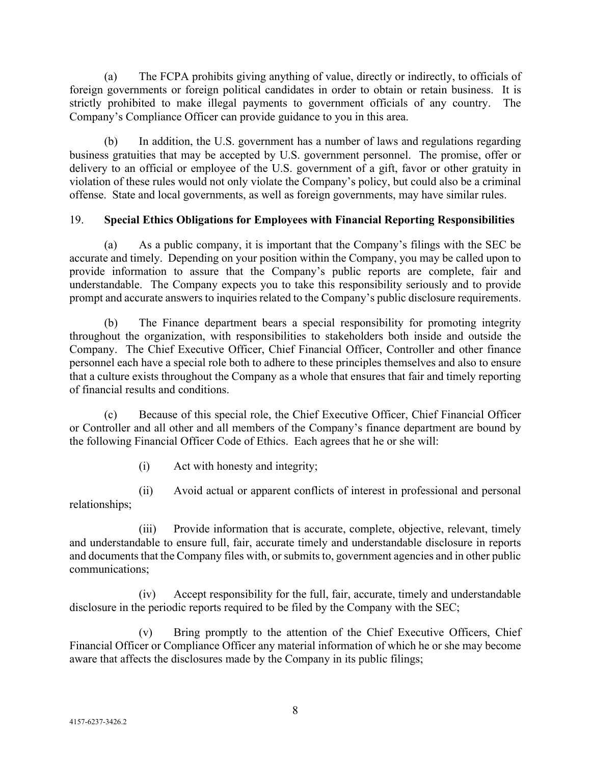(a) The FCPA prohibits giving anything of value, directly or indirectly, to officials of foreign governments or foreign political candidates in order to obtain or retain business. It is strictly prohibited to make illegal payments to government officials of any country. The Company's Compliance Officer can provide guidance to you in this area.

(b) In addition, the U.S. government has a number of laws and regulations regarding business gratuities that may be accepted by U.S. government personnel. The promise, offer or delivery to an official or employee of the U.S. government of a gift, favor or other gratuity in violation of these rules would not only violate the Company's policy, but could also be a criminal offense. State and local governments, as well as foreign governments, may have similar rules.

# 19. **Special Ethics Obligations for Employees with Financial Reporting Responsibilities**

(a) As a public company, it is important that the Company's filings with the SEC be accurate and timely. Depending on your position within the Company, you may be called upon to provide information to assure that the Company's public reports are complete, fair and understandable. The Company expects you to take this responsibility seriously and to provide prompt and accurate answers to inquiries related to the Company's public disclosure requirements.

(b) The Finance department bears a special responsibility for promoting integrity throughout the organization, with responsibilities to stakeholders both inside and outside the Company. The Chief Executive Officer, Chief Financial Officer, Controller and other finance personnel each have a special role both to adhere to these principles themselves and also to ensure that a culture exists throughout the Company as a whole that ensures that fair and timely reporting of financial results and conditions.

(c) Because of this special role, the Chief Executive Officer, Chief Financial Officer or Controller and all other and all members of the Company's finance department are bound by the following Financial Officer Code of Ethics. Each agrees that he or she will:

(i) Act with honesty and integrity;

(ii) Avoid actual or apparent conflicts of interest in professional and personal relationships;

(iii) Provide information that is accurate, complete, objective, relevant, timely and understandable to ensure full, fair, accurate timely and understandable disclosure in reports and documents that the Company files with, or submits to, government agencies and in other public communications;

(iv) Accept responsibility for the full, fair, accurate, timely and understandable disclosure in the periodic reports required to be filed by the Company with the SEC;

(v) Bring promptly to the attention of the Chief Executive Officers, Chief Financial Officer or Compliance Officer any material information of which he or she may become aware that affects the disclosures made by the Company in its public filings;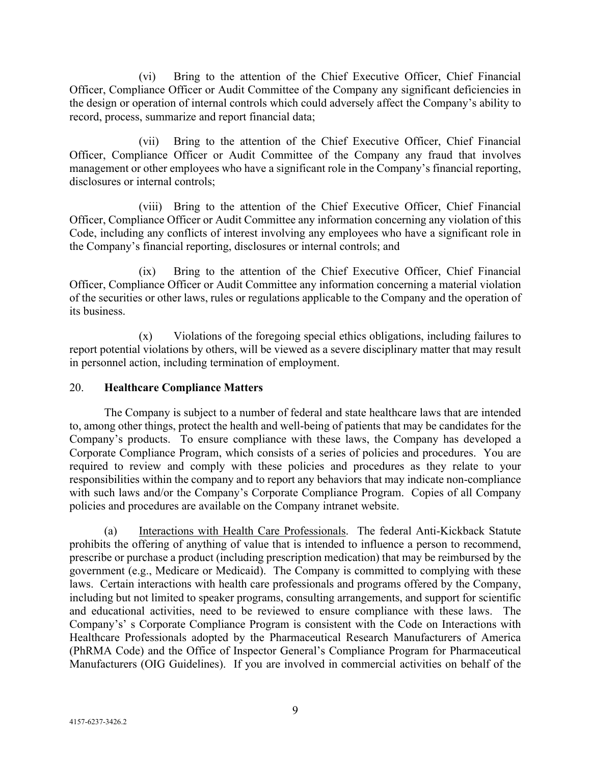(vi) Bring to the attention of the Chief Executive Officer, Chief Financial Officer, Compliance Officer or Audit Committee of the Company any significant deficiencies in the design or operation of internal controls which could adversely affect the Company's ability to record, process, summarize and report financial data;

(vii) Bring to the attention of the Chief Executive Officer, Chief Financial Officer, Compliance Officer or Audit Committee of the Company any fraud that involves management or other employees who have a significant role in the Company's financial reporting, disclosures or internal controls;

(viii) Bring to the attention of the Chief Executive Officer, Chief Financial Officer, Compliance Officer or Audit Committee any information concerning any violation of this Code, including any conflicts of interest involving any employees who have a significant role in the Company's financial reporting, disclosures or internal controls; and

(ix) Bring to the attention of the Chief Executive Officer, Chief Financial Officer, Compliance Officer or Audit Committee any information concerning a material violation of the securities or other laws, rules or regulations applicable to the Company and the operation of its business.

(x) Violations of the foregoing special ethics obligations, including failures to report potential violations by others, will be viewed as a severe disciplinary matter that may result in personnel action, including termination of employment.

### 20. **Healthcare Compliance Matters**

The Company is subject to a number of federal and state healthcare laws that are intended to, among other things, protect the health and well-being of patients that may be candidates for the Company's products. To ensure compliance with these laws, the Company has developed a Corporate Compliance Program, which consists of a series of policies and procedures. You are required to review and comply with these policies and procedures as they relate to your responsibilities within the company and to report any behaviors that may indicate non-compliance with such laws and/or the Company's Corporate Compliance Program. Copies of all Company policies and procedures are available on the Company intranet website.

(a) Interactions with Health Care Professionals. The federal Anti-Kickback Statute prohibits the offering of anything of value that is intended to influence a person to recommend, prescribe or purchase a product (including prescription medication) that may be reimbursed by the government (e.g., Medicare or Medicaid). The Company is committed to complying with these laws. Certain interactions with health care professionals and programs offered by the Company, including but not limited to speaker programs, consulting arrangements, and support for scientific and educational activities, need to be reviewed to ensure compliance with these laws. The Company's' s Corporate Compliance Program is consistent with the Code on Interactions with Healthcare Professionals adopted by the Pharmaceutical Research Manufacturers of America (PhRMA Code) and the Office of Inspector General's Compliance Program for Pharmaceutical Manufacturers (OIG Guidelines). If you are involved in commercial activities on behalf of the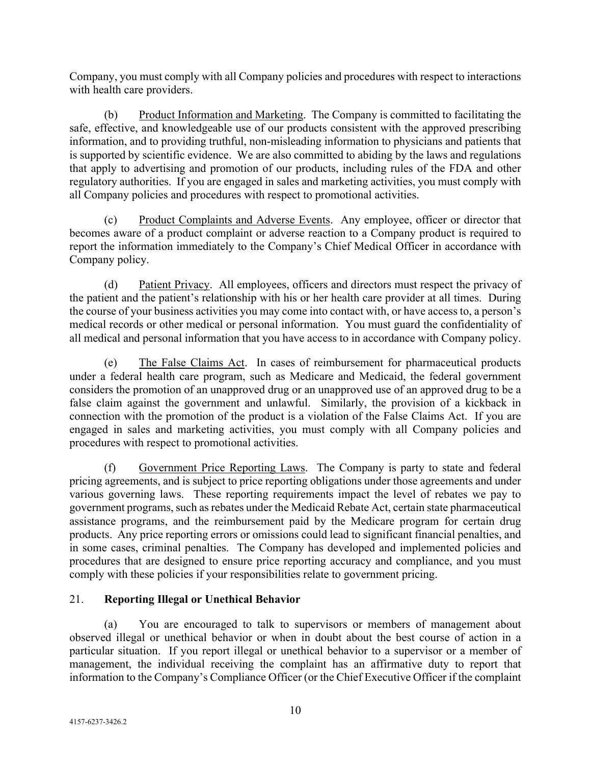Company, you must comply with all Company policies and procedures with respect to interactions with health care providers.

(b) Product Information and Marketing. The Company is committed to facilitating the safe, effective, and knowledgeable use of our products consistent with the approved prescribing information, and to providing truthful, non-misleading information to physicians and patients that is supported by scientific evidence. We are also committed to abiding by the laws and regulations that apply to advertising and promotion of our products, including rules of the FDA and other regulatory authorities. If you are engaged in sales and marketing activities, you must comply with all Company policies and procedures with respect to promotional activities.

(c) Product Complaints and Adverse Events. Any employee, officer or director that becomes aware of a product complaint or adverse reaction to a Company product is required to report the information immediately to the Company's Chief Medical Officer in accordance with Company policy.

(d) Patient Privacy. All employees, officers and directors must respect the privacy of the patient and the patient's relationship with his or her health care provider at all times. During the course of your business activities you may come into contact with, or have access to, a person's medical records or other medical or personal information. You must guard the confidentiality of all medical and personal information that you have access to in accordance with Company policy.

(e) The False Claims Act. In cases of reimbursement for pharmaceutical products under a federal health care program, such as Medicare and Medicaid, the federal government considers the promotion of an unapproved drug or an unapproved use of an approved drug to be a false claim against the government and unlawful. Similarly, the provision of a kickback in connection with the promotion of the product is a violation of the False Claims Act. If you are engaged in sales and marketing activities, you must comply with all Company policies and procedures with respect to promotional activities.

(f) Government Price Reporting Laws. The Company is party to state and federal pricing agreements, and is subject to price reporting obligations under those agreements and under various governing laws. These reporting requirements impact the level of rebates we pay to government programs, such as rebates under the Medicaid Rebate Act, certain state pharmaceutical assistance programs, and the reimbursement paid by the Medicare program for certain drug products. Any price reporting errors or omissions could lead to significant financial penalties, and in some cases, criminal penalties. The Company has developed and implemented policies and procedures that are designed to ensure price reporting accuracy and compliance, and you must comply with these policies if your responsibilities relate to government pricing.

# 21. **Reporting Illegal or Unethical Behavior**

(a) You are encouraged to talk to supervisors or members of management about observed illegal or unethical behavior or when in doubt about the best course of action in a particular situation. If you report illegal or unethical behavior to a supervisor or a member of management, the individual receiving the complaint has an affirmative duty to report that information to the Company's Compliance Officer (or the Chief Executive Officer if the complaint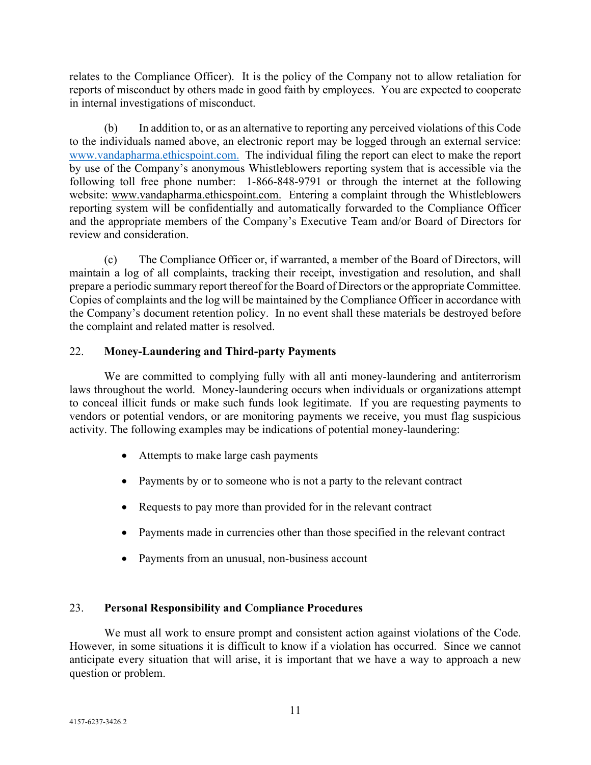relates to the Compliance Officer). It is the policy of the Company not to allow retaliation for reports of misconduct by others made in good faith by employees. You are expected to cooperate in internal investigations of misconduct.

(b) In addition to, or as an alternative to reporting any perceived violations of this Code to the individuals named above, an electronic report may be logged through an external service: [www.vandapharma.ethicspoint.com.](http://www.vandapharma.ethicspoint.com./) The individual filing the report can elect to make the report by use of the Company's anonymous Whistleblowers reporting system that is accessible via the following toll free phone number: 1-866-848-9791 or through the internet at the following website: [www.vandapharma.ethicspoint.com.](http://www.vandapharma.ethicspoint.com./) Entering a complaint through the Whistleblowers reporting system will be confidentially and automatically forwarded to the Compliance Officer and the appropriate members of the Company's Executive Team and/or Board of Directors for review and consideration.

(c) The Compliance Officer or, if warranted, a member of the Board of Directors, will maintain a log of all complaints, tracking their receipt, investigation and resolution, and shall prepare a periodic summary report thereof for the Board of Directors or the appropriate Committee. Copies of complaints and the log will be maintained by the Compliance Officer in accordance with the Company's document retention policy. In no event shall these materials be destroyed before the complaint and related matter is resolved.

# 22. **Money-Laundering and Third-party Payments**

We are committed to complying fully with all anti money-laundering and antiterrorism laws throughout the world. Money-laundering occurs when individuals or organizations attempt to conceal illicit funds or make such funds look legitimate. If you are requesting payments to vendors or potential vendors, or are monitoring payments we receive, you must flag suspicious activity. The following examples may be indications of potential money-laundering:

- Attempts to make large cash payments
- Payments by or to someone who is not a party to the relevant contract
- Requests to pay more than provided for in the relevant contract
- Payments made in currencies other than those specified in the relevant contract
- Payments from an unusual, non-business account

# 23. **Personal Responsibility and Compliance Procedures**

We must all work to ensure prompt and consistent action against violations of the Code. However, in some situations it is difficult to know if a violation has occurred. Since we cannot anticipate every situation that will arise, it is important that we have a way to approach a new question or problem.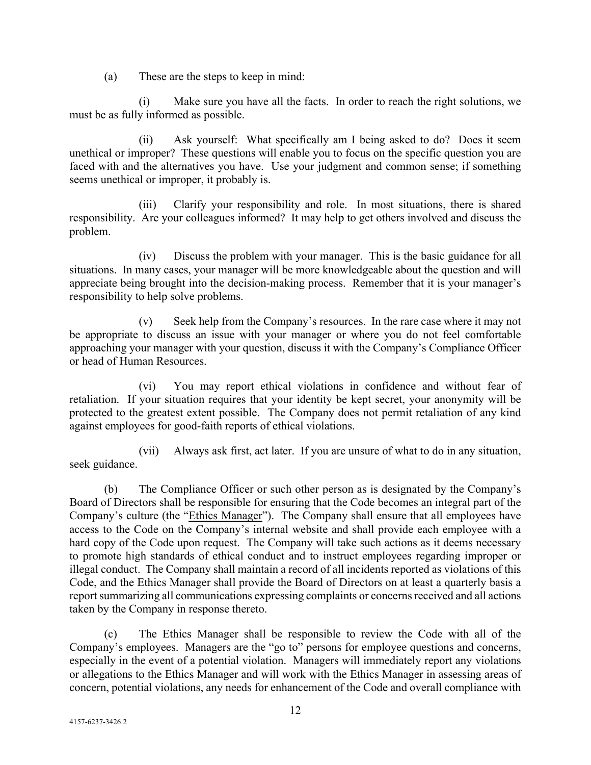(a) These are the steps to keep in mind:

(i) Make sure you have all the facts. In order to reach the right solutions, we must be as fully informed as possible.

(ii) Ask yourself: What specifically am I being asked to do? Does it seem unethical or improper? These questions will enable you to focus on the specific question you are faced with and the alternatives you have. Use your judgment and common sense; if something seems unethical or improper, it probably is.

(iii) Clarify your responsibility and role. In most situations, there is shared responsibility. Are your colleagues informed? It may help to get others involved and discuss the problem.

(iv) Discuss the problem with your manager. This is the basic guidance for all situations. In many cases, your manager will be more knowledgeable about the question and will appreciate being brought into the decision-making process. Remember that it is your manager's responsibility to help solve problems.

(v) Seek help from the Company's resources. In the rare case where it may not be appropriate to discuss an issue with your manager or where you do not feel comfortable approaching your manager with your question, discuss it with the Company's Compliance Officer or head of Human Resources.

(vi) You may report ethical violations in confidence and without fear of retaliation. If your situation requires that your identity be kept secret, your anonymity will be protected to the greatest extent possible. The Company does not permit retaliation of any kind against employees for good-faith reports of ethical violations.

(vii) Always ask first, act later. If you are unsure of what to do in any situation, seek guidance.

(b) The Compliance Officer or such other person as is designated by the Company's Board of Directors shall be responsible for ensuring that the Code becomes an integral part of the Company's culture (the "Ethics Manager"). The Company shall ensure that all employees have access to the Code on the Company's internal website and shall provide each employee with a hard copy of the Code upon request. The Company will take such actions as it deems necessary to promote high standards of ethical conduct and to instruct employees regarding improper or illegal conduct. The Company shall maintain a record of all incidents reported as violations of this Code, and the Ethics Manager shall provide the Board of Directors on at least a quarterly basis a report summarizing all communications expressing complaints or concerns received and all actions taken by the Company in response thereto.

(c) The Ethics Manager shall be responsible to review the Code with all of the Company's employees. Managers are the "go to" persons for employee questions and concerns, especially in the event of a potential violation. Managers will immediately report any violations or allegations to the Ethics Manager and will work with the Ethics Manager in assessing areas of concern, potential violations, any needs for enhancement of the Code and overall compliance with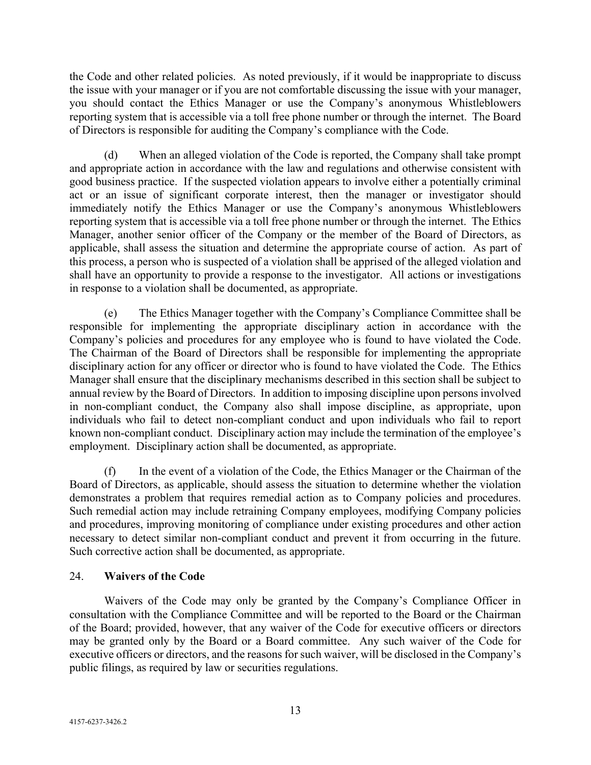the Code and other related policies. As noted previously, if it would be inappropriate to discuss the issue with your manager or if you are not comfortable discussing the issue with your manager, you should contact the Ethics Manager or use the Company's anonymous Whistleblowers reporting system that is accessible via a toll free phone number or through the internet. The Board of Directors is responsible for auditing the Company's compliance with the Code.

(d) When an alleged violation of the Code is reported, the Company shall take prompt and appropriate action in accordance with the law and regulations and otherwise consistent with good business practice. If the suspected violation appears to involve either a potentially criminal act or an issue of significant corporate interest, then the manager or investigator should immediately notify the Ethics Manager or use the Company's anonymous Whistleblowers reporting system that is accessible via a toll free phone number or through the internet. The Ethics Manager, another senior officer of the Company or the member of the Board of Directors, as applicable, shall assess the situation and determine the appropriate course of action. As part of this process, a person who is suspected of a violation shall be apprised of the alleged violation and shall have an opportunity to provide a response to the investigator. All actions or investigations in response to a violation shall be documented, as appropriate.

(e) The Ethics Manager together with the Company's Compliance Committee shall be responsible for implementing the appropriate disciplinary action in accordance with the Company's policies and procedures for any employee who is found to have violated the Code. The Chairman of the Board of Directors shall be responsible for implementing the appropriate disciplinary action for any officer or director who is found to have violated the Code. The Ethics Manager shall ensure that the disciplinary mechanisms described in this section shall be subject to annual review by the Board of Directors. In addition to imposing discipline upon persons involved in non-compliant conduct, the Company also shall impose discipline, as appropriate, upon individuals who fail to detect non-compliant conduct and upon individuals who fail to report known non-compliant conduct. Disciplinary action may include the termination of the employee's employment. Disciplinary action shall be documented, as appropriate.

(f) In the event of a violation of the Code, the Ethics Manager or the Chairman of the Board of Directors, as applicable, should assess the situation to determine whether the violation demonstrates a problem that requires remedial action as to Company policies and procedures. Such remedial action may include retraining Company employees, modifying Company policies and procedures, improving monitoring of compliance under existing procedures and other action necessary to detect similar non-compliant conduct and prevent it from occurring in the future. Such corrective action shall be documented, as appropriate.

# 24. **Waivers of the Code**

Waivers of the Code may only be granted by the Company's Compliance Officer in consultation with the Compliance Committee and will be reported to the Board or the Chairman of the Board; provided, however, that any waiver of the Code for executive officers or directors may be granted only by the Board or a Board committee. Any such waiver of the Code for executive officers or directors, and the reasons for such waiver, will be disclosed in the Company's public filings, as required by law or securities regulations.